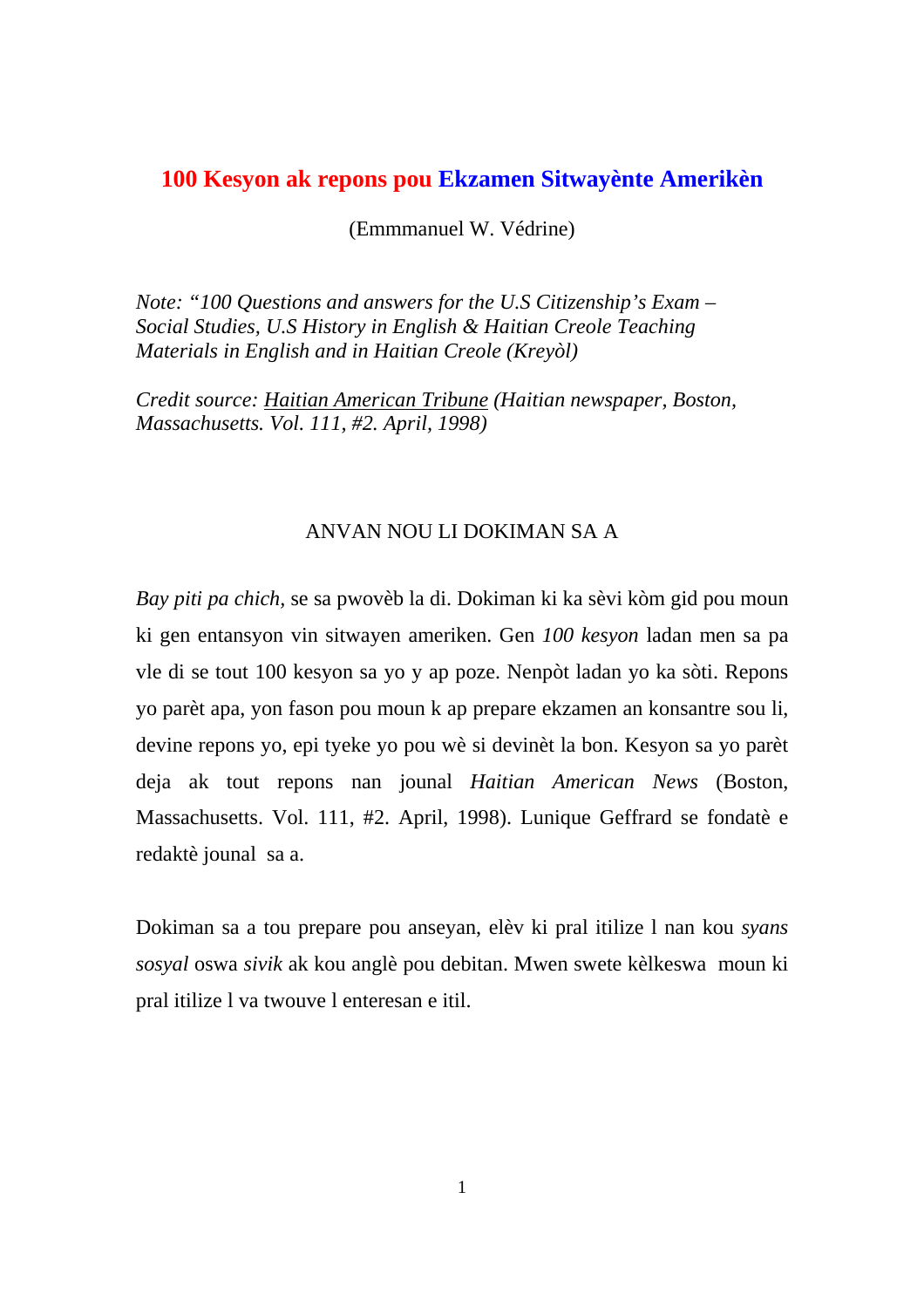## **100 Kesyon ak repons pou Ekzamen Sitwayènte Amerikèn**

(Emmmanuel W. Védrine)

*Note: "100 Questions and answers for the U.S Citizenship's Exam – Social Studies, U.S History in English & Haitian Creole Teaching Materials in English and in Haitian Creole (Kreyòl)* 

*Credit source: Haitian American Tribune (Haitian newspaper, Boston, Massachusetts. Vol. 111, #2. April, 1998)* 

#### ANVAN NOU LI DOKIMAN SA A

*Bay piti pa chich,* se sa pwovèb la di. Dokiman ki ka sèvi kòm gid pou moun ki gen entansyon vin sitwayen ameriken. Gen *100 kesyon* ladan men sa pa vle di se tout 100 kesyon sa yo y ap poze. Nenpòt ladan yo ka sòti. Repons yo parèt apa, yon fason pou moun k ap prepare ekzamen an konsantre sou li, devine repons yo, epi tyeke yo pou wè si devinèt la bon. Kesyon sa yo parèt deja ak tout repons nan jounal *Haitian American News* (Boston, Massachusetts. Vol. 111, #2. April, 1998). Lunique Geffrard se fondatè e redaktè jounal sa a.

Dokiman sa a tou prepare pou anseyan, elèv ki pral itilize l nan kou *syans sosyal* oswa *sivik* ak kou anglè pou debitan. Mwen swete kèlkeswa moun ki pral itilize l va twouve l enteresan e itil.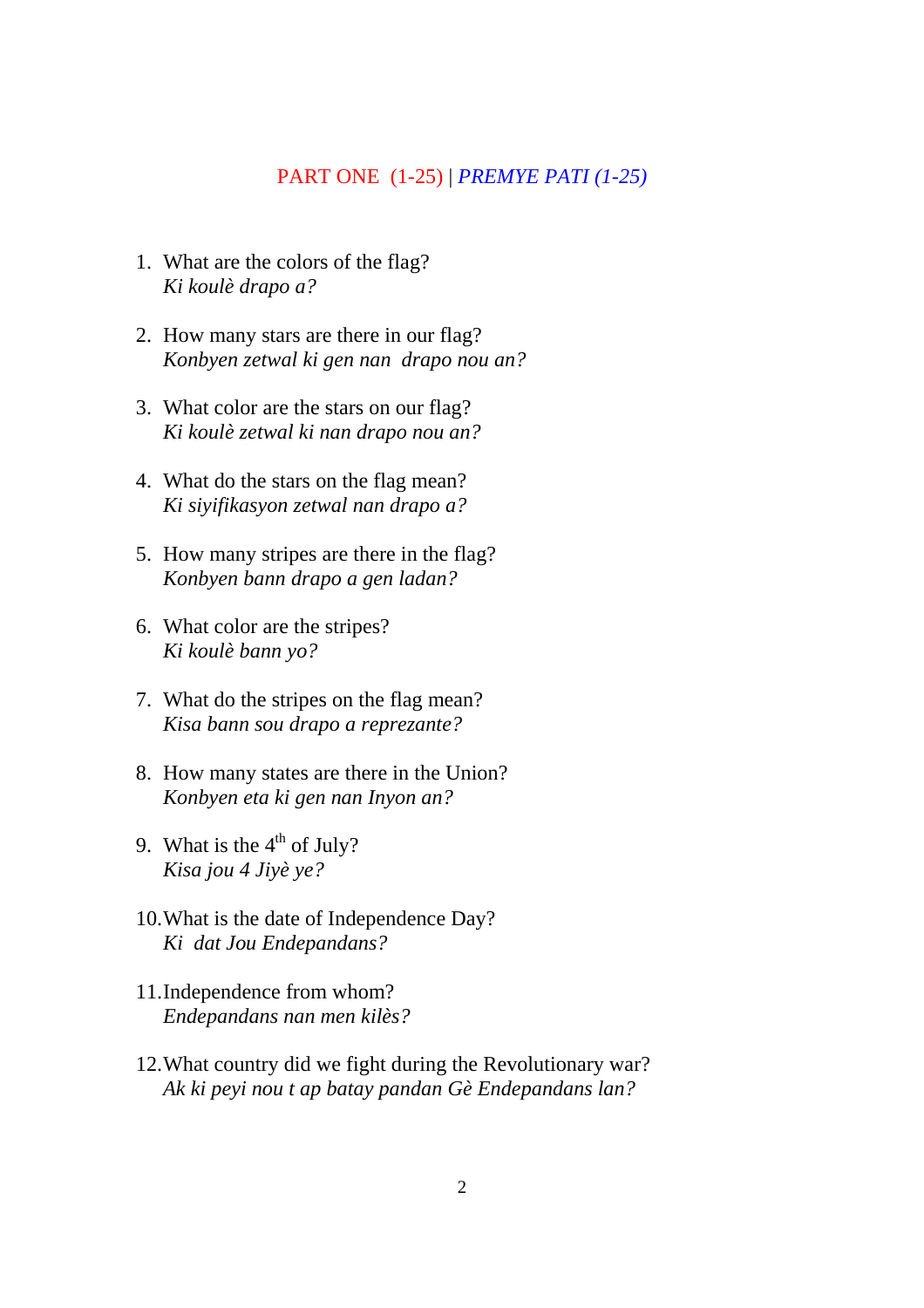#### PART ONE (1-25) | *PREMYE PATI (1-25)*

- 1. What are the colors of the flag? *Ki koulè drapo a?*
- 2. How many stars are there in our flag? *Konbyen zetwal ki gen nan drapo nou an?*
- 3. What color are the stars on our flag? *Ki koulè zetwal ki nan drapo nou an?*
- 4. What do the stars on the flag mean? *Ki siyifikasyon zetwal nan drapo a?*
- 5. How many stripes are there in the flag? *Konbyen bann drapo a gen ladan?*
- 6. What color are the stripes? *Ki koulè bann yo?*
- 7. What do the stripes on the flag mean? *Kisa bann sou drapo a reprezante?*
- 8. How many states are there in the Union? *Konbyen eta ki gen nan Inyon an?*
- 9. What is the  $4<sup>th</sup>$  of July? *Kisa jou 4 Jiyè ye?*
- 10.What is the date of Independence Day? *Ki dat Jou Endepandans?*
- 11.Independence from whom? *Endepandans nan men kilès?*
- 12.What country did we fight during the Revolutionary war? *Ak ki peyi nou t ap batay pandan Gè Endepandans lan?*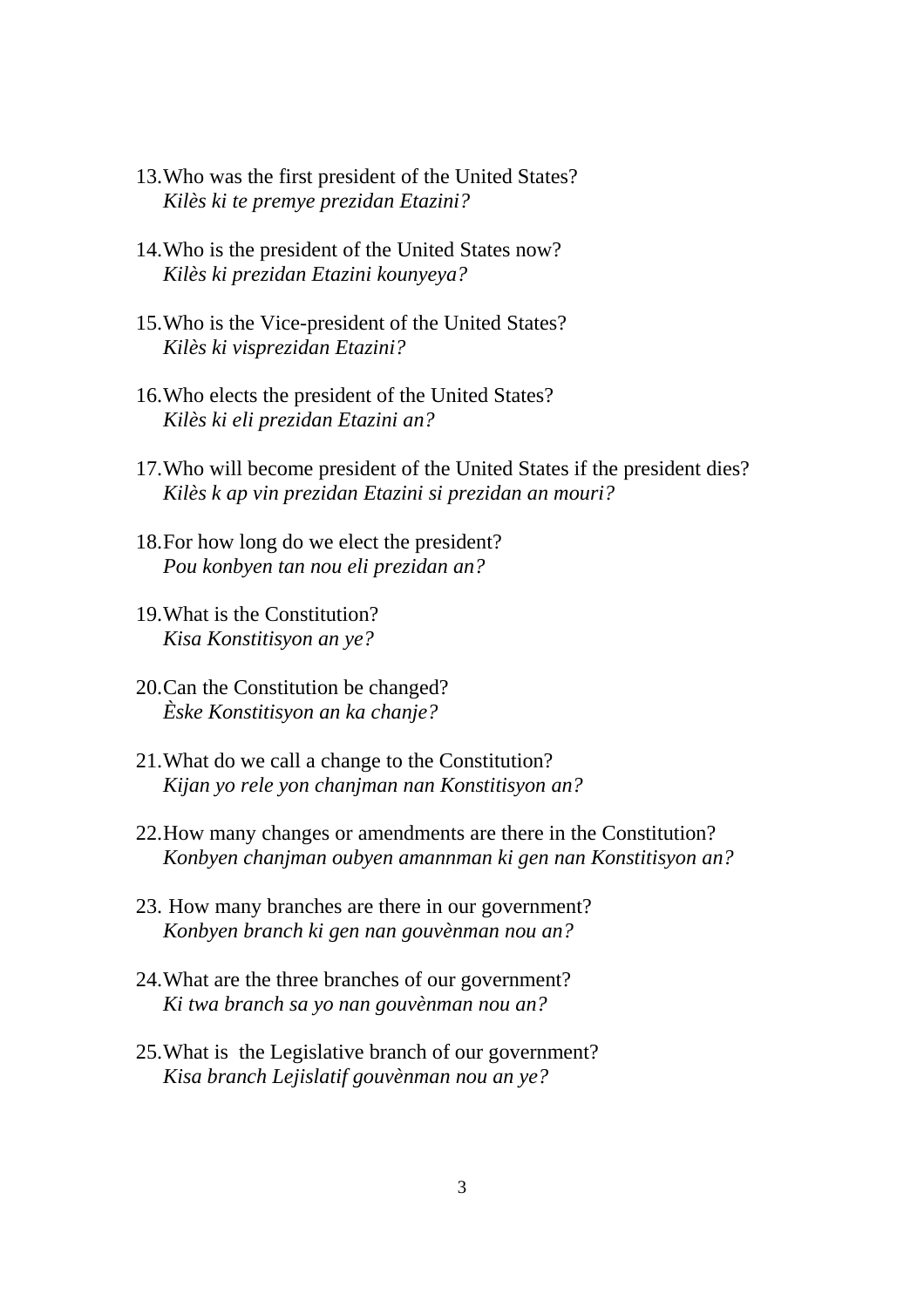- 13.Who was the first president of the United States? *Kilès ki te premye prezidan Etazini?*
- 14.Who is the president of the United States now? *Kilès ki prezidan Etazini kounyeya?*
- 15.Who is the Vice-president of the United States? *Kilès ki visprezidan Etazini?*
- 16.Who elects the president of the United States? *Kilès ki eli prezidan Etazini an?*
- 17.Who will become president of the United States if the president dies? *Kilès k ap vin prezidan Etazini si prezidan an mouri?*
- 18.For how long do we elect the president? *Pou konbyen tan nou eli prezidan an?*
- 19.What is the Constitution? *Kisa Konstitisyon an ye?*
- 20.Can the Constitution be changed? *Èske Konstitisyon an ka chanje?*
- 21.What do we call a change to the Constitution? *Kijan yo rele yon chanjman nan Konstitisyon an?*
- 22.How many changes or amendments are there in the Constitution? *Konbyen chanjman oubyen amannman ki gen nan Konstitisyon an?*
- 23. How many branches are there in our government? *Konbyen branch ki gen nan gouvènman nou an?*
- 24.What are the three branches of our government? *Ki twa branch sa yo nan gouvènman nou an?*
- 25.What is the Legislative branch of our government? *Kisa branch Lejislatif gouvènman nou an ye?*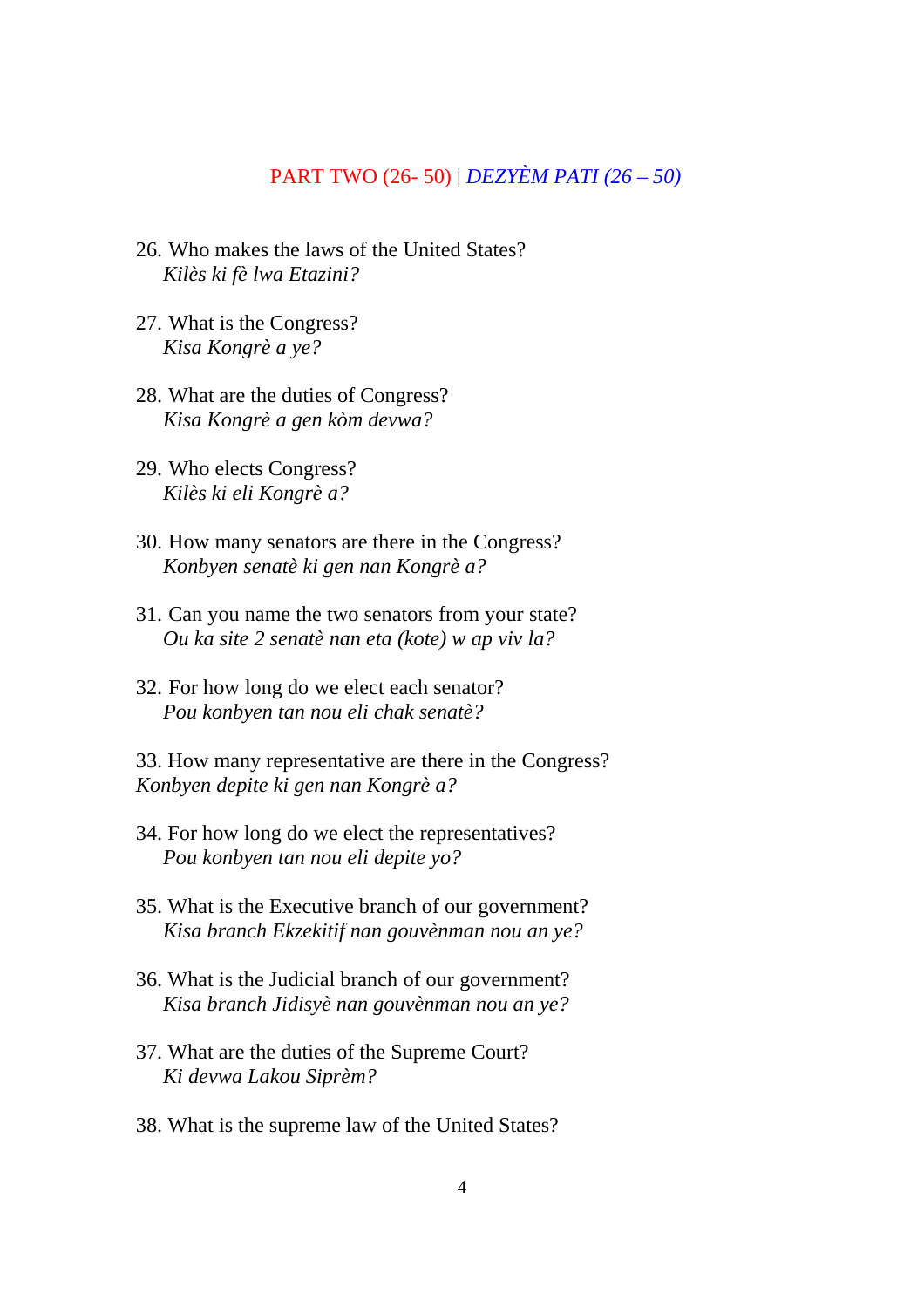## PART TWO (26- 50) | *DEZYÈM PATI (26 – 50)*

- 26. Who makes the laws of the United States? *Kilès ki fè lwa Etazini?*
- 27. What is the Congress? *Kisa Kongrè a ye?*
- 28. What are the duties of Congress? *Kisa Kongrè a gen kòm devwa?*
- 29. Who elects Congress? *Kilès ki eli Kongrè a?*
- 30. How many senators are there in the Congress? *Konbyen senatè ki gen nan Kongrè a?*
- 31. Can you name the two senators from your state? *Ou ka site 2 senatè nan eta (kote) w ap viv la?*
- 32. For how long do we elect each senator? *Pou konbyen tan nou eli chak senatè?*

33. How many representative are there in the Congress? *Konbyen depite ki gen nan Kongrè a?* 

- 34. For how long do we elect the representatives? *Pou konbyen tan nou eli depite yo?*
- 35. What is the Executive branch of our government? *Kisa branch Ekzekitif nan gouvènman nou an ye?*
- 36. What is the Judicial branch of our government? *Kisa branch Jidisyè nan gouvènman nou an ye?*
- 37. What are the duties of the Supreme Court? *Ki devwa Lakou Siprèm?*
- 38. What is the supreme law of the United States?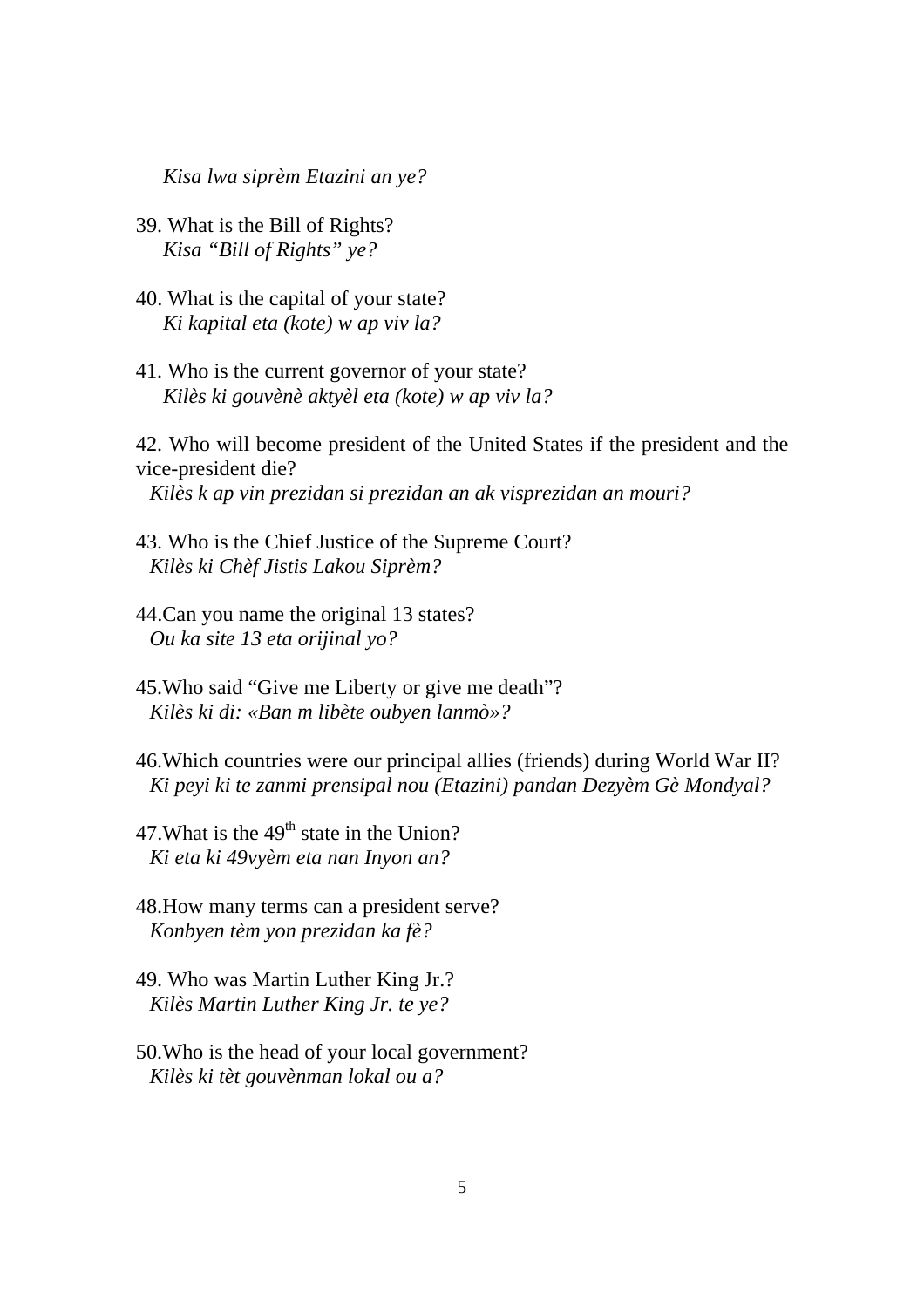*Kisa lwa siprèm Etazini an ye?* 

- 39. What is the Bill of Rights? *Kisa "Bill of Rights" ye?*
- 40. What is the capital of your state? *Ki kapital eta (kote) w ap viv la?*
- 41. Who is the current governor of your state? *Kilès ki gouvènè aktyèl eta (kote) w ap viv la?*

42. Who will become president of the United States if the president and the vice-president die?

*Kilès k ap vin prezidan si prezidan an ak visprezidan an mouri?* 

- 43. Who is the Chief Justice of the Supreme Court? *Kilès ki Chèf Jistis Lakou Siprèm?*
- 44.Can you name the original 13 states? *Ou ka site 13 eta orijinal yo?*
- 45.Who said "Give me Liberty or give me death"? *Kilès ki di: «Ban m libète oubyen lanmò»?*
- 46.Which countries were our principal allies (friends) during World War II? *Ki peyi ki te zanmi prensipal nou (Etazini) pandan Dezyèm Gè Mondyal?*
- 47. What is the  $49<sup>th</sup>$  state in the Union? *Ki eta ki 49vyèm eta nan Inyon an?*
- 48.How many terms can a president serve? *Konbyen tèm yon prezidan ka fè?*
- 49. Who was Martin Luther King Jr.? *Kilès Martin Luther King Jr. te ye?*
- 50.Who is the head of your local government? *Kilès ki tèt gouvènman lokal ou a?*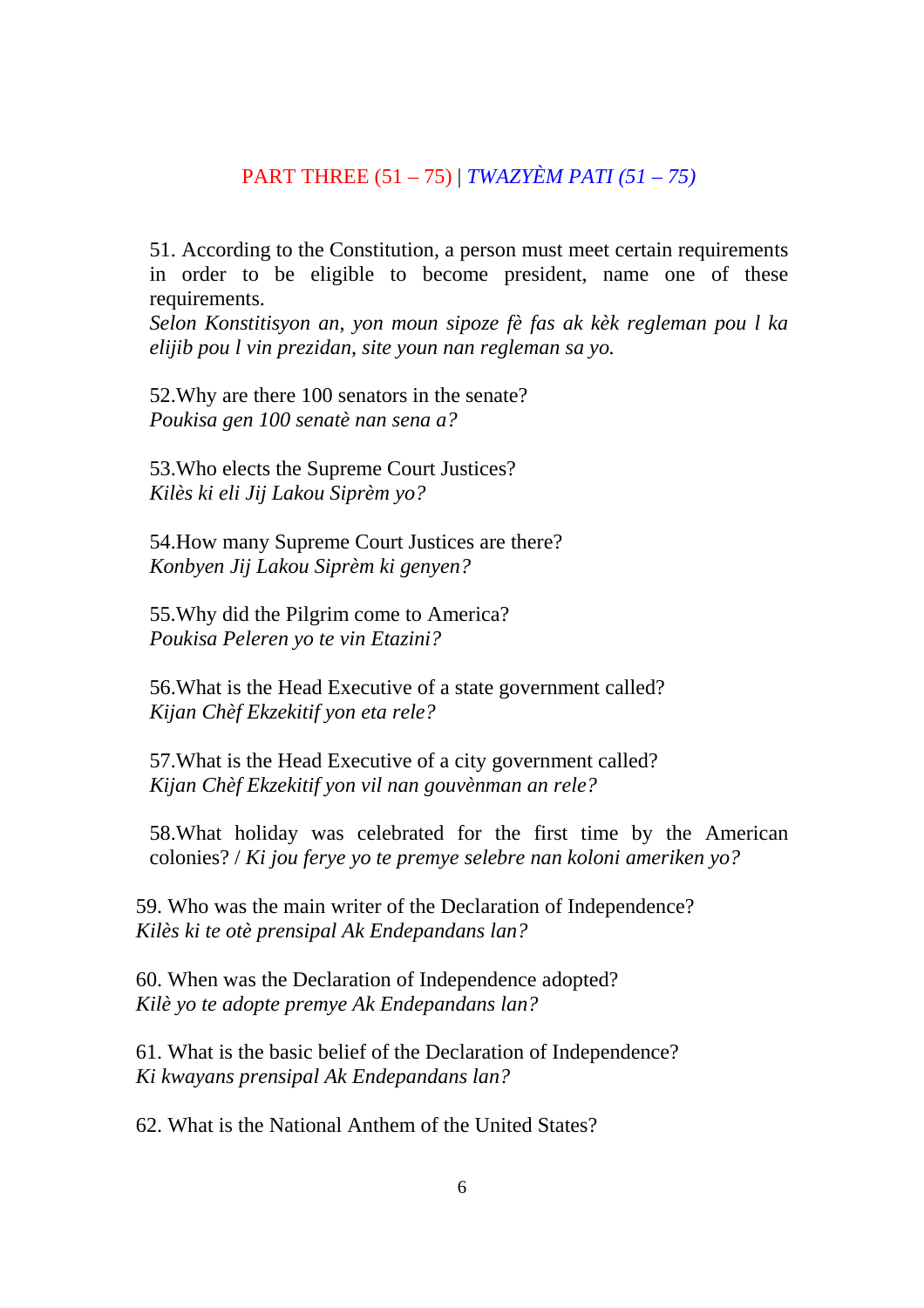## PART THREE (51 – 75) | *TWAZYÈM PATI (51 – 75)*

51. According to the Constitution, a person must meet certain requirements in order to be eligible to become president, name one of these requirements.

*Selon Konstitisyon an, yon moun sipoze fè fas ak kèk regleman pou l ka elijib pou l vin prezidan, site youn nan regleman sa yo.* 

52.Why are there 100 senators in the senate? *Poukisa gen 100 senatè nan sena a?* 

53.Who elects the Supreme Court Justices? *Kilès ki eli Jij Lakou Siprèm yo?* 

54.How many Supreme Court Justices are there? *Konbyen Jij Lakou Siprèm ki genyen?* 

55.Why did the Pilgrim come to America? *Poukisa Peleren yo te vin Etazini?* 

56.What is the Head Executive of a state government called? *Kijan Chèf Ekzekitif yon eta rele?* 

57.What is the Head Executive of a city government called? *Kijan Chèf Ekzekitif yon vil nan gouvènman an rele?* 

58.What holiday was celebrated for the first time by the American colonies? / *Ki jou ferye yo te premye selebre nan koloni ameriken yo?*

59. Who was the main writer of the Declaration of Independence? *Kilès ki te otè prensipal Ak Endepandans lan?* 

60. When was the Declaration of Independence adopted? *Kilè yo te adopte premye Ak Endepandans lan?* 

61. What is the basic belief of the Declaration of Independence? *Ki kwayans prensipal Ak Endepandans lan?* 

62. What is the National Anthem of the United States?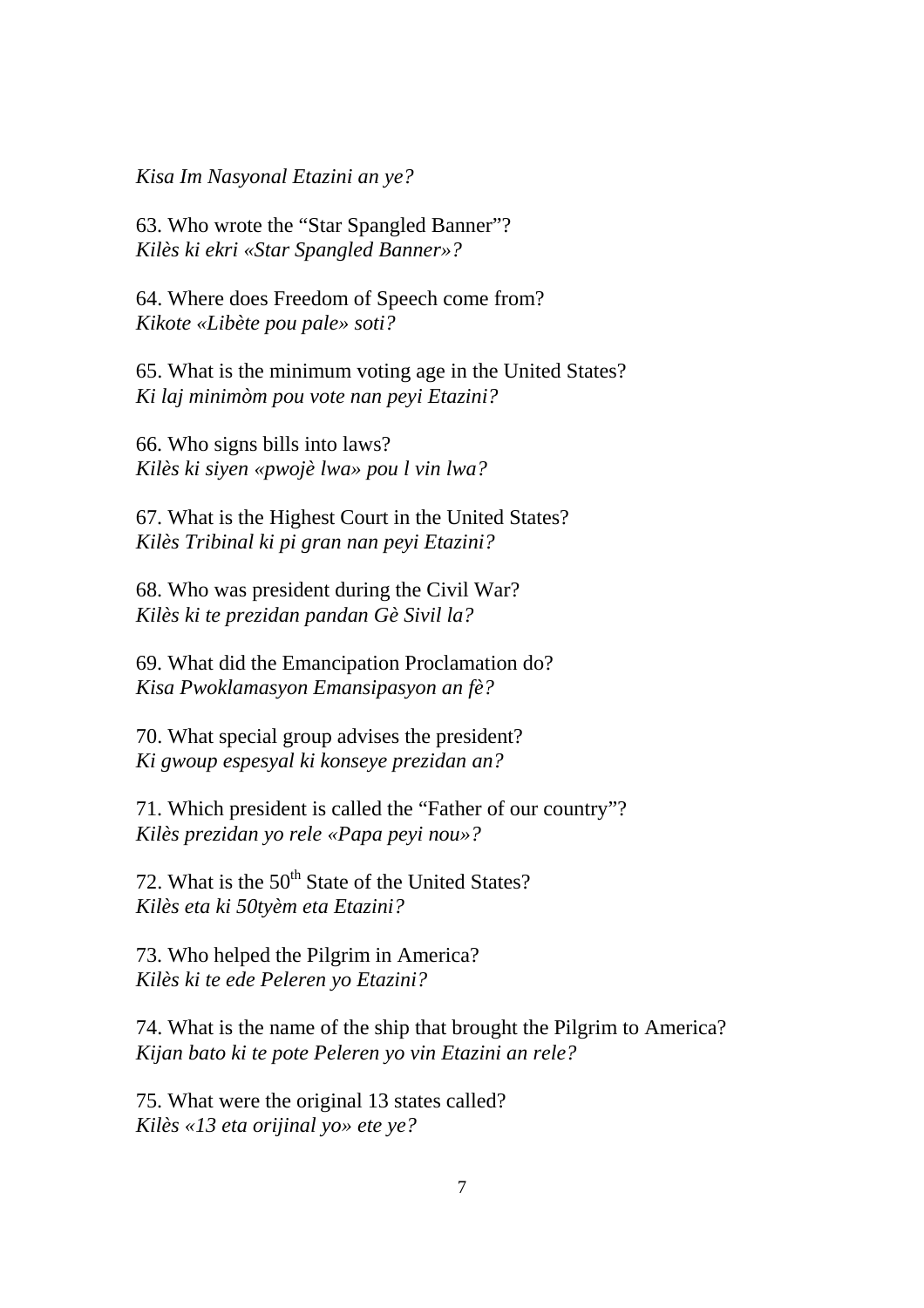*Kisa Im Nasyonal Etazini an ye?* 

63. Who wrote the "Star Spangled Banner"? *Kilès ki ekri «Star Spangled Banner»?* 

64. Where does Freedom of Speech come from? *Kikote «Libète pou pale» soti?* 

65. What is the minimum voting age in the United States? *Ki laj minimòm pou vote nan peyi Etazini?* 

66. Who signs bills into laws? *Kilès ki siyen «pwojè lwa» pou l vin lwa?* 

67. What is the Highest Court in the United States? *Kilès Tribinal ki pi gran nan peyi Etazini?* 

68. Who was president during the Civil War? *Kilès ki te prezidan pandan Gè Sivil la?* 

69. What did the Emancipation Proclamation do? *Kisa Pwoklamasyon Emansipasyon an fè?* 

70. What special group advises the president? *Ki gwoup espesyal ki konseye prezidan an?* 

71. Which president is called the "Father of our country"? *Kilès prezidan yo rele «Papa peyi nou»?* 

72. What is the  $50<sup>th</sup>$  State of the United States? *Kilès eta ki 50tyèm eta Etazini?* 

73. Who helped the Pilgrim in America? *Kilès ki te ede Peleren yo Etazini?* 

74. What is the name of the ship that brought the Pilgrim to America? *Kijan bato ki te pote Peleren yo vin Etazini an rele?* 

75. What were the original 13 states called? *Kilès «13 eta orijinal yo» ete ye?*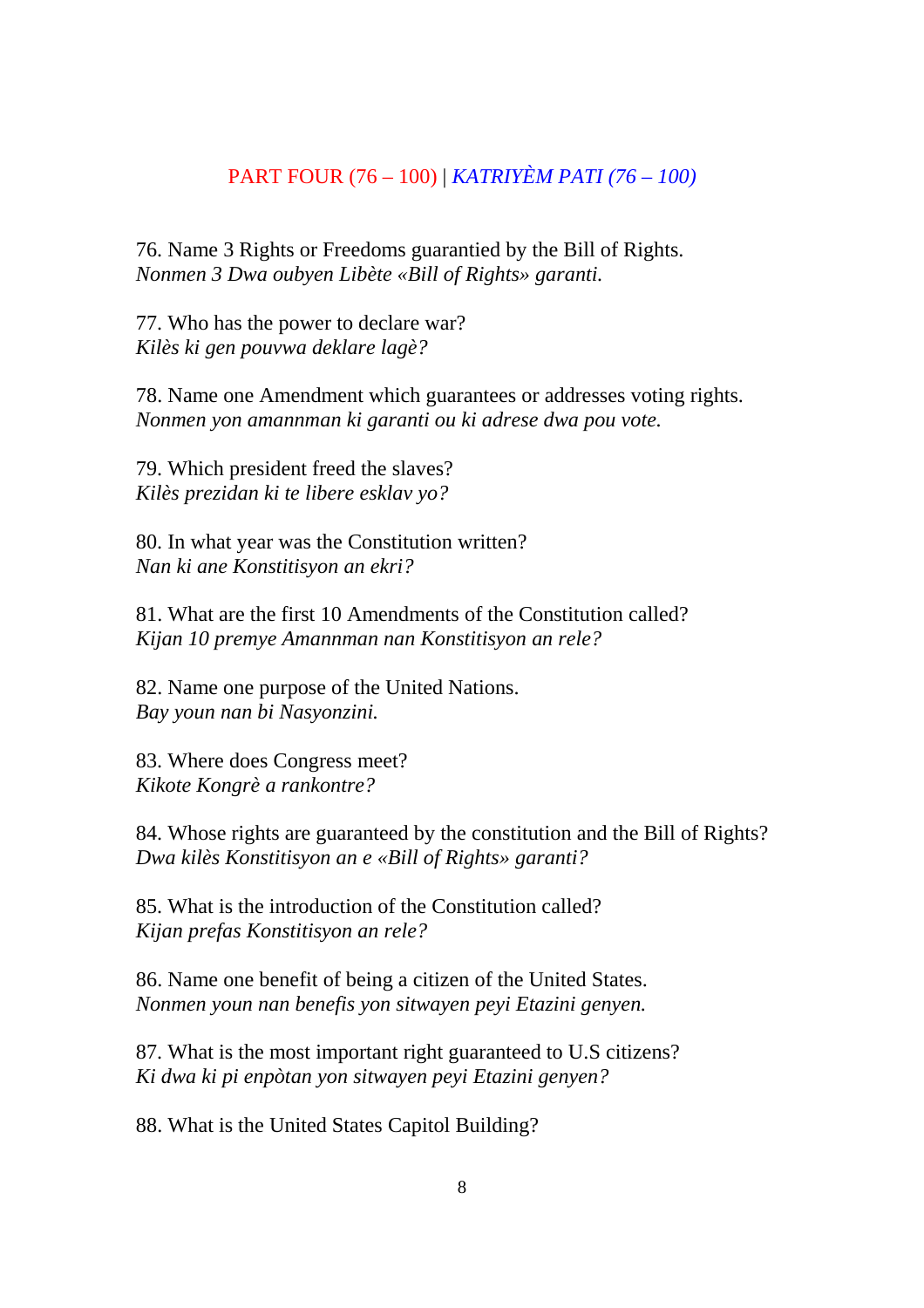## PART FOUR (76 – 100) | *KATRIYÈM PATI (76 – 100)*

76. Name 3 Rights or Freedoms guarantied by the Bill of Rights. *Nonmen 3 Dwa oubyen Libète «Bill of Rights» garanti.* 

77. Who has the power to declare war? *Kilès ki gen pouvwa deklare lagè?* 

78. Name one Amendment which guarantees or addresses voting rights. *Nonmen yon amannman ki garanti ou ki adrese dwa pou vote.* 

79. Which president freed the slaves? *Kilès prezidan ki te libere esklav yo?* 

80. In what year was the Constitution written? *Nan ki ane Konstitisyon an ekri?* 

81. What are the first 10 Amendments of the Constitution called? *Kijan 10 premye Amannman nan Konstitisyon an rele?* 

82. Name one purpose of the United Nations. *Bay youn nan bi Nasyonzini.* 

83. Where does Congress meet? *Kikote Kongrè a rankontre?* 

84. Whose rights are guaranteed by the constitution and the Bill of Rights? *Dwa kilès Konstitisyon an e «Bill of Rights» garanti?* 

85. What is the introduction of the Constitution called? *Kijan prefas Konstitisyon an rele?* 

86. Name one benefit of being a citizen of the United States. *Nonmen youn nan benefis yon sitwayen peyi Etazini genyen.* 

87. What is the most important right guaranteed to U.S citizens? *Ki dwa ki pi enpòtan yon sitwayen peyi Etazini genyen?* 

88. What is the United States Capitol Building?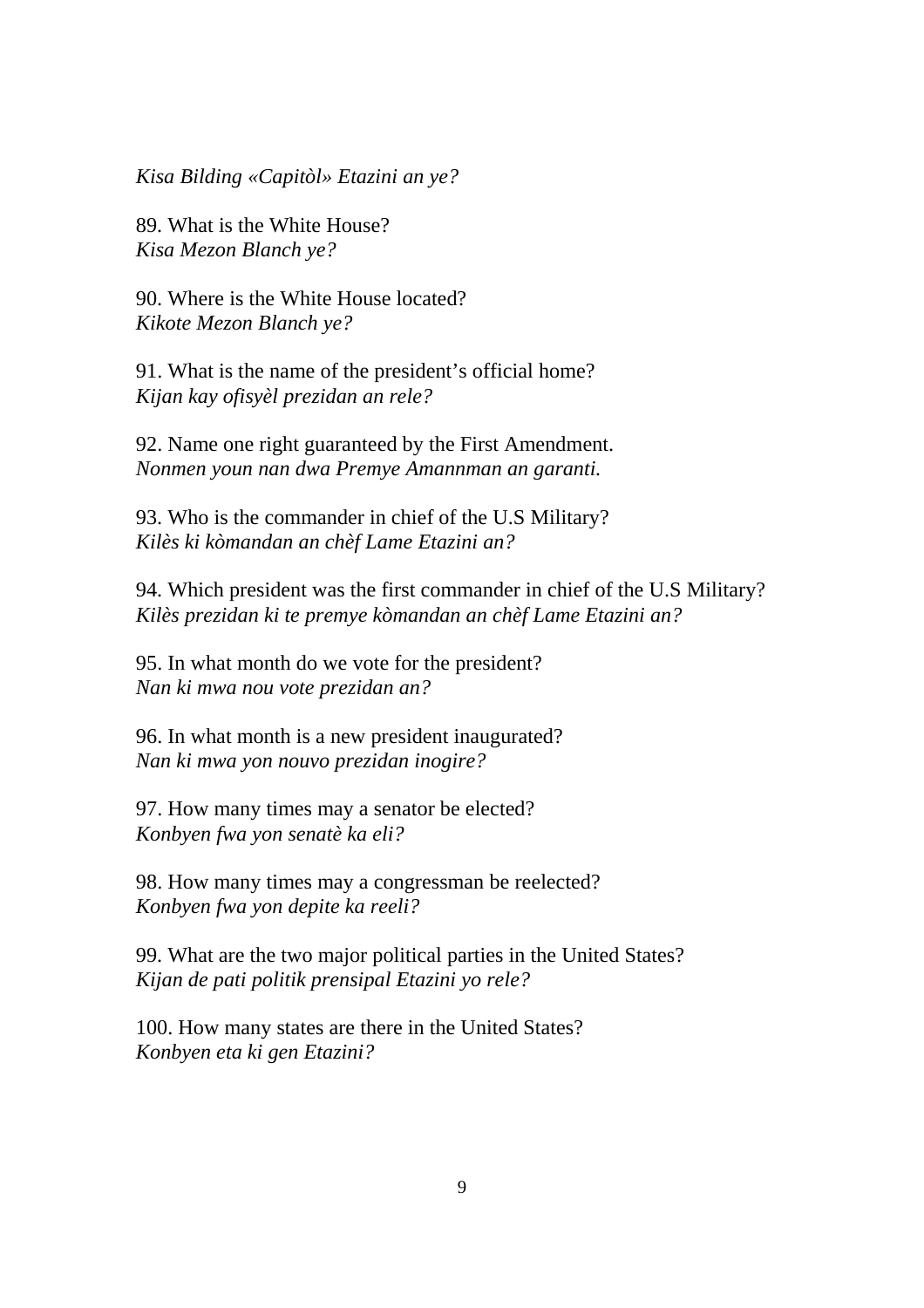*Kisa Bilding «Capitòl» Etazini an ye?* 

89. What is the White House? *Kisa Mezon Blanch ye?* 

90. Where is the White House located? *Kikote Mezon Blanch ye?* 

91. What is the name of the president's official home? *Kijan kay ofisyèl prezidan an rele?* 

92. Name one right guaranteed by the First Amendment. *Nonmen youn nan dwa Premye Amannman an garanti.* 

93. Who is the commander in chief of the U.S Military? *Kilès ki kòmandan an chèf Lame Etazini an?* 

94. Which president was the first commander in chief of the U.S Military? *Kilès prezidan ki te premye kòmandan an chèf Lame Etazini an?* 

95. In what month do we vote for the president? *Nan ki mwa nou vote prezidan an?* 

96. In what month is a new president inaugurated? *Nan ki mwa yon nouvo prezidan inogire?* 

97. How many times may a senator be elected? *Konbyen fwa yon senatè ka eli?* 

98. How many times may a congressman be reelected? *Konbyen fwa yon depite ka reeli?* 

99. What are the two major political parties in the United States? *Kijan de pati politik prensipal Etazini yo rele?* 

100. How many states are there in the United States? *Konbyen eta ki gen Etazini?*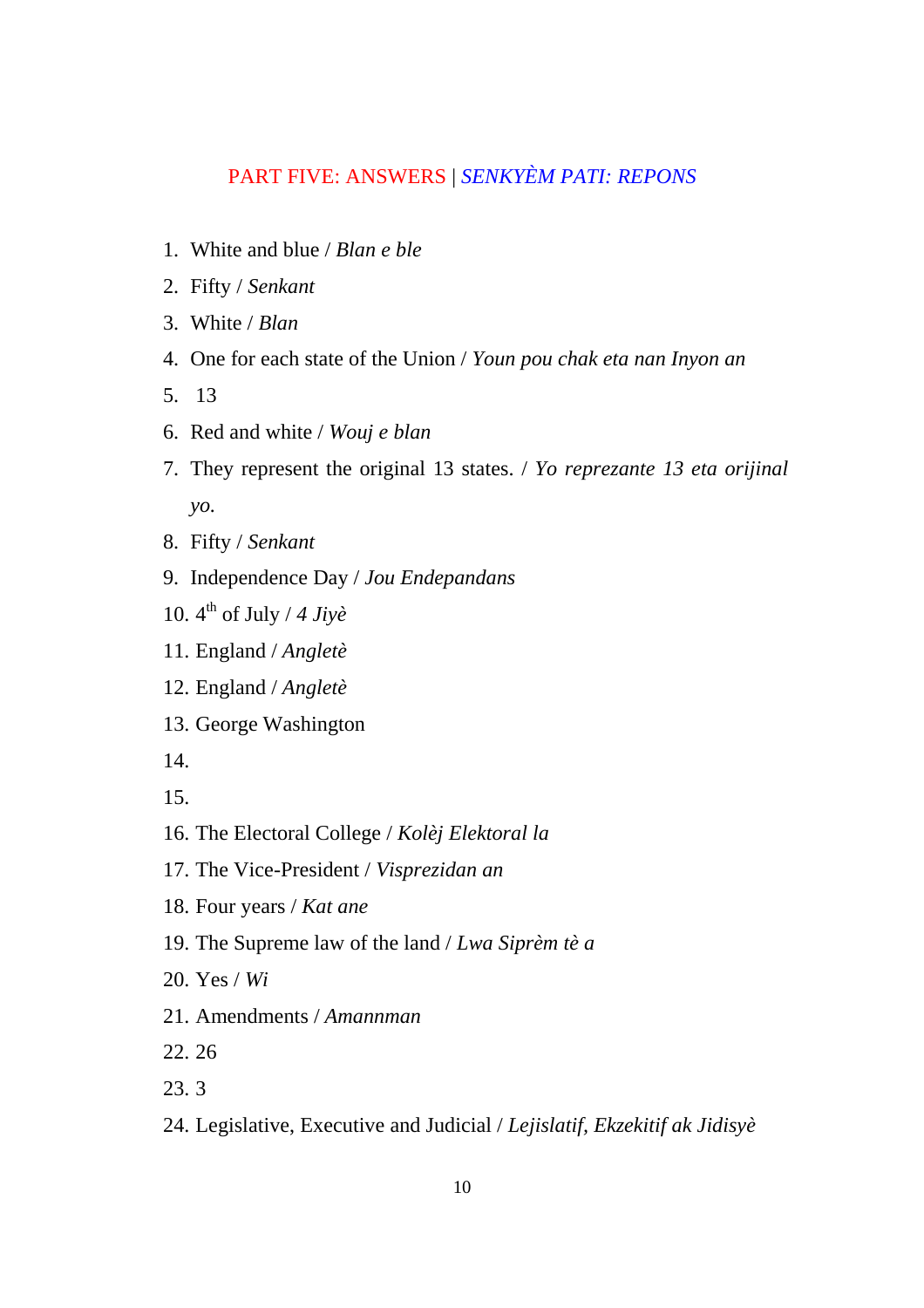# PART FIVE: ANSWERS | *SENKYÈM PATI: REPONS*

- 1. White and blue / *Blan e ble*
- 2. Fifty / *Senkant*
- 3. White / *Blan*
- 4. One for each state of the Union / *Youn pou chak eta nan Inyon an*
- 5. 13
- 6. Red and white / *Wouj e blan*
- 7. They represent the original 13 states. / *Yo reprezante 13 eta orijinal yo.*
- 8. Fifty / *Senkant*
- 9. Independence Day / *Jou Endepandans*
- 10. 4th of July / *4 Jiyè*
- 11. England / *Angletè*
- 12. England / *Angletè*
- 13. George Washington
- 14.
- 15.
- 16. The Electoral College / *Kolèj Elektoral la*
- 17. The Vice-President / *Visprezidan an*
- 18. Four years / *Kat ane*
- 19. The Supreme law of the land / *Lwa Siprèm tè a*
- 20. Yes / *Wi*
- 21. Amendments / *Amannman*
- 22. 26
- 23. 3
- 24. Legislative, Executive and Judicial / *Lejislatif, Ekzekitif ak Jidisyè*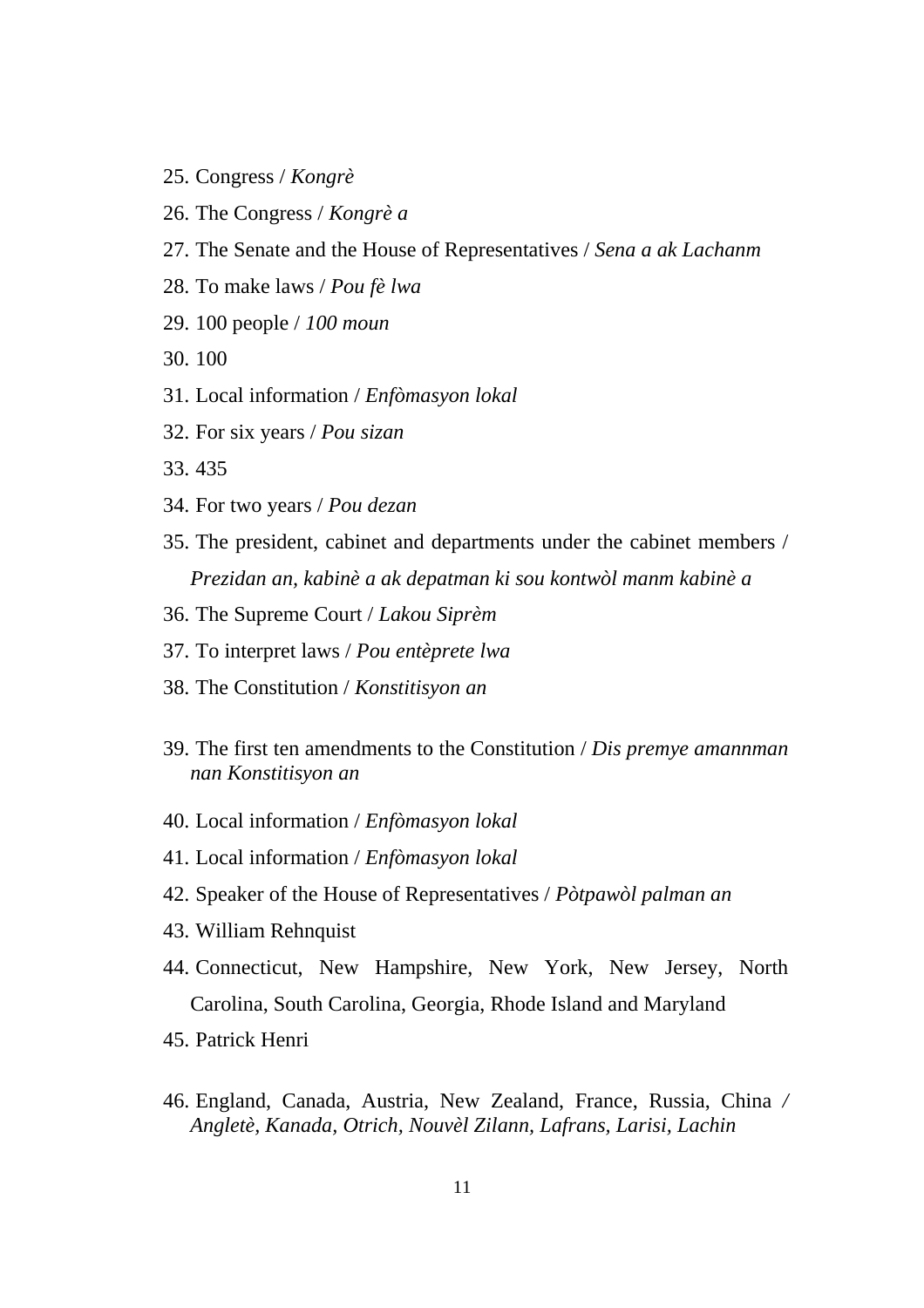- 25. Congress / *Kongrè*
- 26. The Congress / *Kongrè a*
- 27. The Senate and the House of Representatives / *Sena a ak Lachanm*
- 28. To make laws / *Pou fè lwa*
- 29. 100 people / *100 moun*
- 30. 100
- 31. Local information / *Enfòmasyon lokal*
- 32. For six years / *Pou sizan*
- 33. 435
- 34. For two years / *Pou dezan*
- 35. The president, cabinet and departments under the cabinet members / *Prezidan an, kabinè a ak depatman ki sou kontwòl manm kabinè a*
- 36. The Supreme Court / *Lakou Siprèm*
- 37. To interpret laws / *Pou entèprete lwa*
- 38. The Constitution / *Konstitisyon an*
- 39. The first ten amendments to the Constitution / *Dis premye amannman nan Konstitisyon an*
- 40. Local information / *Enfòmasyon lokal*
- 41. Local information / *Enfòmasyon lokal*
- 42. Speaker of the House of Representatives / *Pòtpawòl palman an*
- 43. William Rehnquist
- 44. Connecticut, New Hampshire, New York, New Jersey, North Carolina, South Carolina, Georgia, Rhode Island and Maryland
- 45. Patrick Henri
- 46. England, Canada, Austria, New Zealand, France, Russia, China */ Angletè, Kanada, Otrich, Nouvèl Zilann, Lafrans, Larisi, Lachin*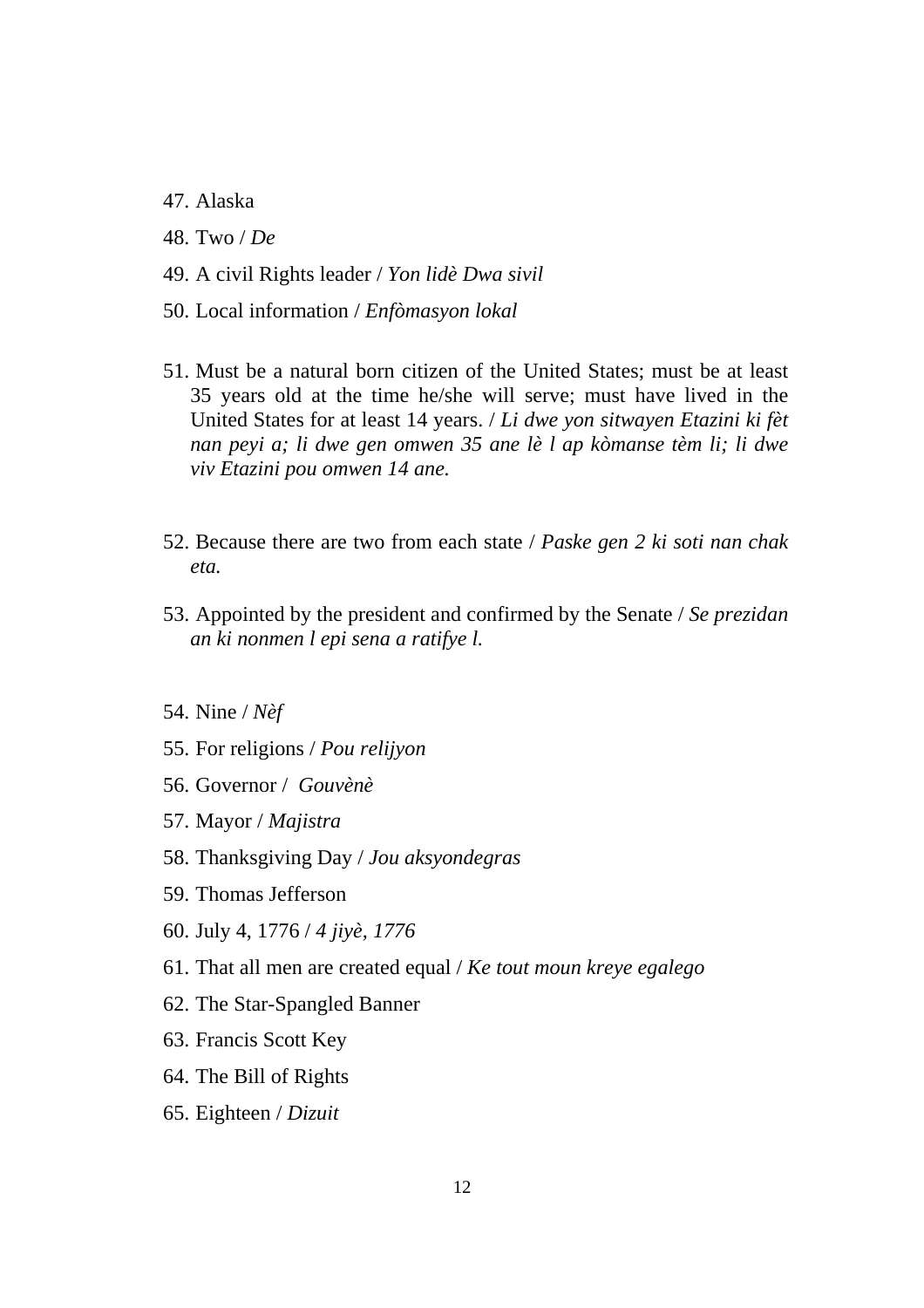- 47. Alaska
- 48. Two / *De*
- 49. A civil Rights leader / *Yon lidè Dwa sivil*
- 50. Local information / *Enfòmasyon lokal*
- 51. Must be a natural born citizen of the United States; must be at least 35 years old at the time he/she will serve; must have lived in the United States for at least 14 years. / *Li dwe yon sitwayen Etazini ki fèt nan peyi a; li dwe gen omwen 35 ane lè l ap kòmanse tèm li; li dwe viv Etazini pou omwen 14 ane.*
- 52. Because there are two from each state / *Paske gen 2 ki soti nan chak eta.*
- 53. Appointed by the president and confirmed by the Senate / *Se prezidan an ki nonmen l epi sena a ratifye l.*
- 54. Nine / *Nèf*
- 55. For religions / *Pou relijyon*
- 56. Governor / *Gouvènè*
- 57. Mayor / *Majistra*
- 58. Thanksgiving Day / *Jou aksyondegras*
- 59. Thomas Jefferson
- 60. July 4, 1776 / *4 jiyè, 1776*
- 61. That all men are created equal / *Ke tout moun kreye egalego*
- 62. The Star-Spangled Banner
- 63. Francis Scott Key
- 64. The Bill of Rights
- 65. Eighteen / *Dizuit*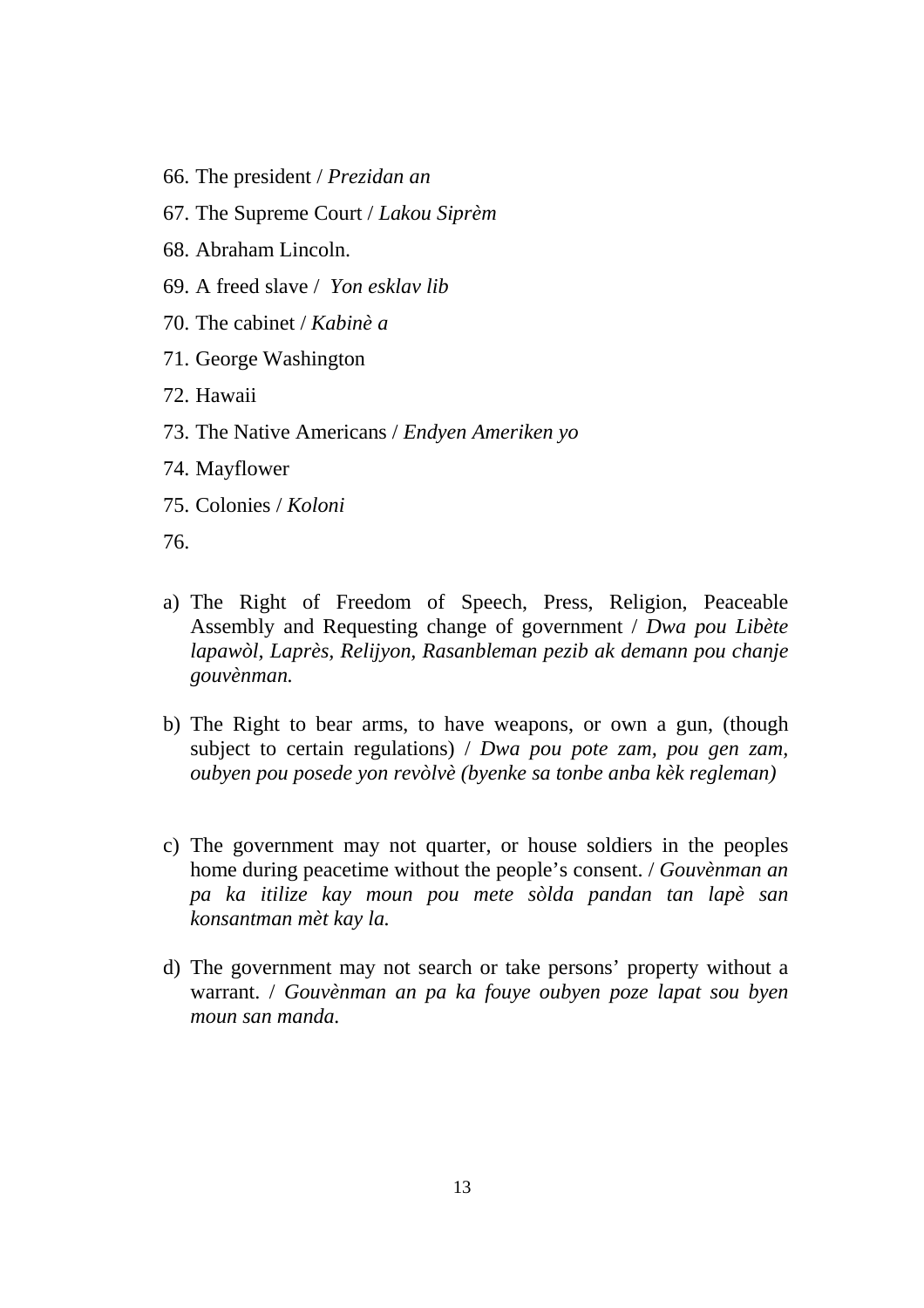- 66. The president / *Prezidan an*
- 67. The Supreme Court / *Lakou Siprèm*
- 68. Abraham Lincoln.
- 69. A freed slave / *Yon esklav lib*
- 70. The cabinet / *Kabinè a*
- 71. George Washington
- 72. Hawaii
- 73. The Native Americans / *Endyen Ameriken yo*
- 74. Mayflower
- 75. Colonies / *Koloni*

76.

- a) The Right of Freedom of Speech, Press, Religion, Peaceable Assembly and Requesting change of government / *Dwa pou Libète lapawòl, Laprès, Relijyon, Rasanbleman pezib ak demann pou chanje gouvènman.*
- b) The Right to bear arms, to have weapons, or own a gun, (though subject to certain regulations) / *Dwa pou pote zam, pou gen zam, oubyen pou posede yon revòlvè (byenke sa tonbe anba kèk regleman)*
- c) The government may not quarter, or house soldiers in the peoples home during peacetime without the people's consent. / *Gouvènman an pa ka itilize kay moun pou mete sòlda pandan tan lapè san konsantman mèt kay la.*
- d) The government may not search or take persons' property without a warrant. / *Gouvènman an pa ka fouye oubyen poze lapat sou byen moun san manda.*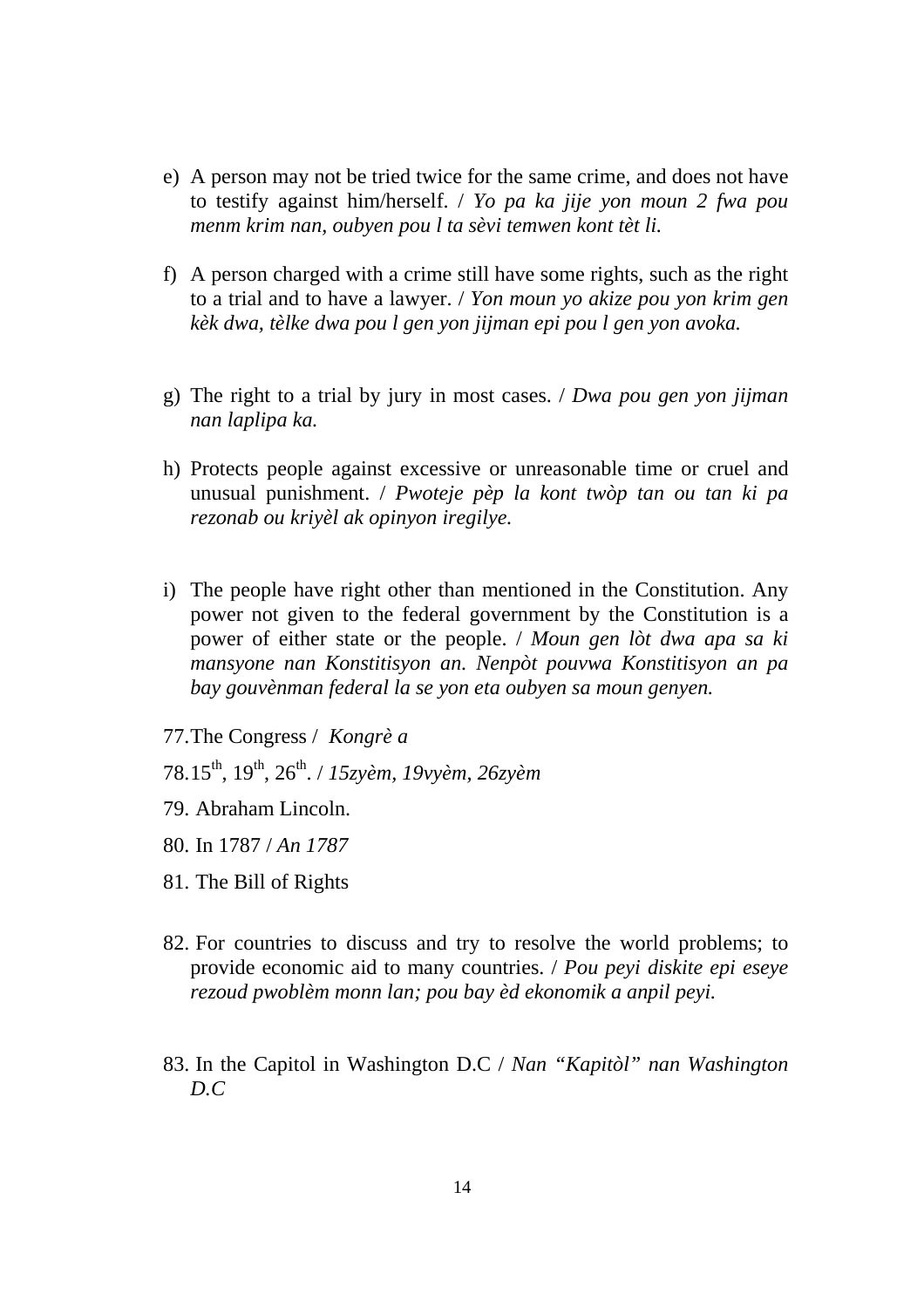- e) A person may not be tried twice for the same crime, and does not have to testify against him/herself. / *Yo pa ka jije yon moun 2 fwa pou menm krim nan, oubyen pou l ta sèvi temwen kont tèt li.*
- f) A person charged with a crime still have some rights, such as the right to a trial and to have a lawyer. / *Yon moun yo akize pou yon krim gen kèk dwa, tèlke dwa pou l gen yon jijman epi pou l gen yon avoka.*
- g) The right to a trial by jury in most cases. / *Dwa pou gen yon jijman nan laplipa ka.*
- h) Protects people against excessive or unreasonable time or cruel and unusual punishment. / *Pwoteje pèp la kont twòp tan ou tan ki pa rezonab ou kriyèl ak opinyon iregilye.*
- i) The people have right other than mentioned in the Constitution. Any power not given to the federal government by the Constitution is a power of either state or the people. / *Moun gen lòt dwa apa sa ki mansyone nan Konstitisyon an. Nenpòt pouvwa Konstitisyon an pa bay gouvènman federal la se yon eta oubyen sa moun genyen.*
- 77.The Congress / *Kongrè a*
- 78.15th, 19th, 26th. / *15zyèm, 19vyèm, 26zyèm*
- 79. Abraham Lincoln.
- 80. In 1787 / *An 1787*
- 81. The Bill of Rights
- 82. For countries to discuss and try to resolve the world problems; to provide economic aid to many countries. / *Pou peyi diskite epi eseye rezoud pwoblèm monn lan; pou bay èd ekonomik a anpil peyi.*
- 83. In the Capitol in Washington D.C / *Nan "Kapitòl" nan Washington D.C*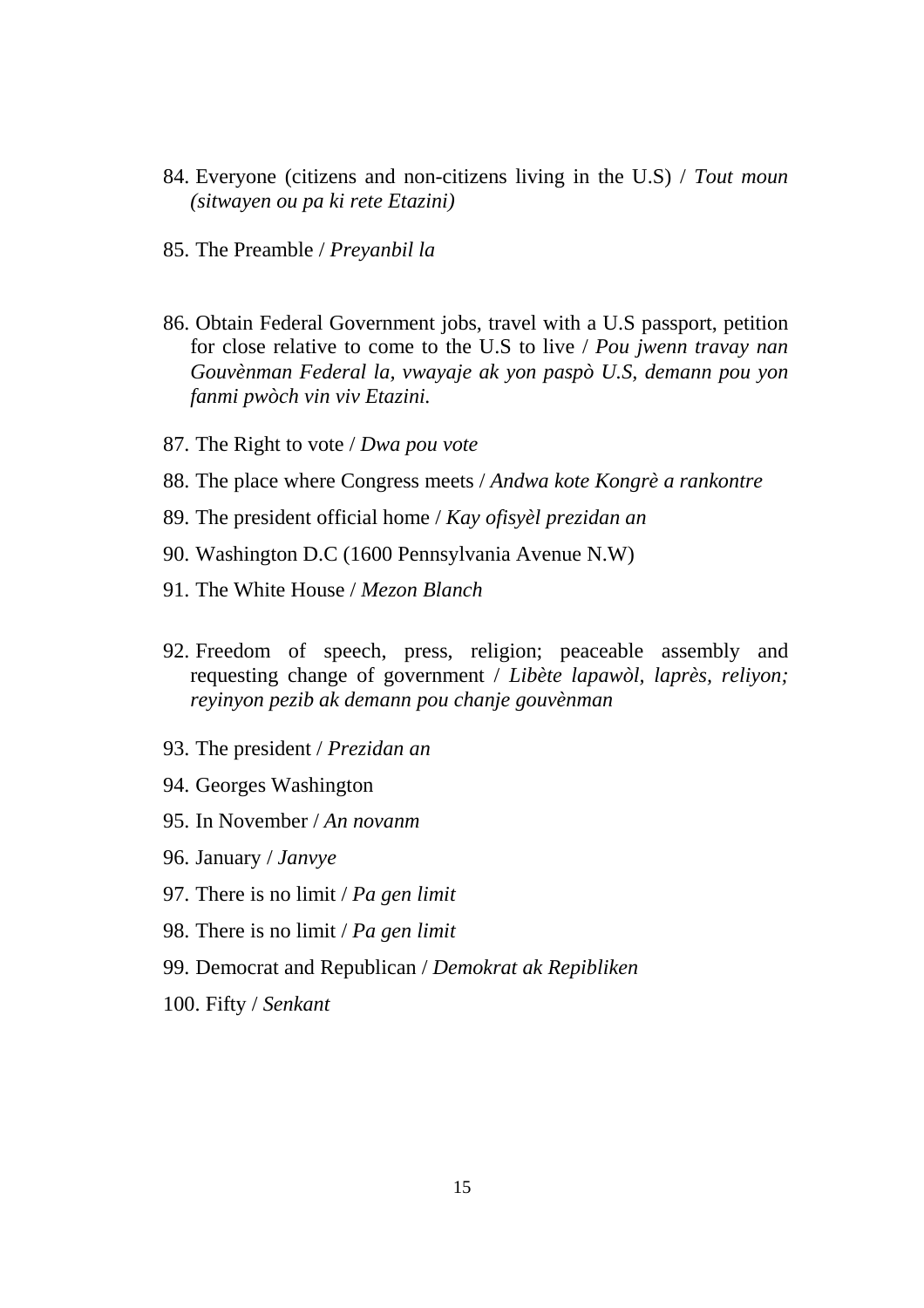- 84. Everyone (citizens and non-citizens living in the U.S) / *Tout moun (sitwayen ou pa ki rete Etazini)*
- 85. The Preamble / *Preyanbil la*
- 86. Obtain Federal Government jobs, travel with a U.S passport, petition for close relative to come to the U.S to live / *Pou jwenn travay nan Gouvènman Federal la, vwayaje ak yon paspò U.S, demann pou yon fanmi pwòch vin viv Etazini.*
- 87. The Right to vote / *Dwa pou vote*
- 88. The place where Congress meets / *Andwa kote Kongrè a rankontre*
- 89. The president official home / *Kay ofisyèl prezidan an*
- 90. Washington D.C (1600 Pennsylvania Avenue N.W)
- 91. The White House / *Mezon Blanch*
- 92. Freedom of speech, press, religion; peaceable assembly and requesting change of government / *Libète lapawòl, laprès, reliyon; reyinyon pezib ak demann pou chanje gouvènman*
- 93. The president / *Prezidan an*
- 94. Georges Washington
- 95. In November / *An novanm*
- 96. January / *Janvye*
- 97. There is no limit / *Pa gen limit*
- 98. There is no limit / *Pa gen limit*
- 99. Democrat and Republican / *Demokrat ak Repibliken*
- 100. Fifty / *Senkant*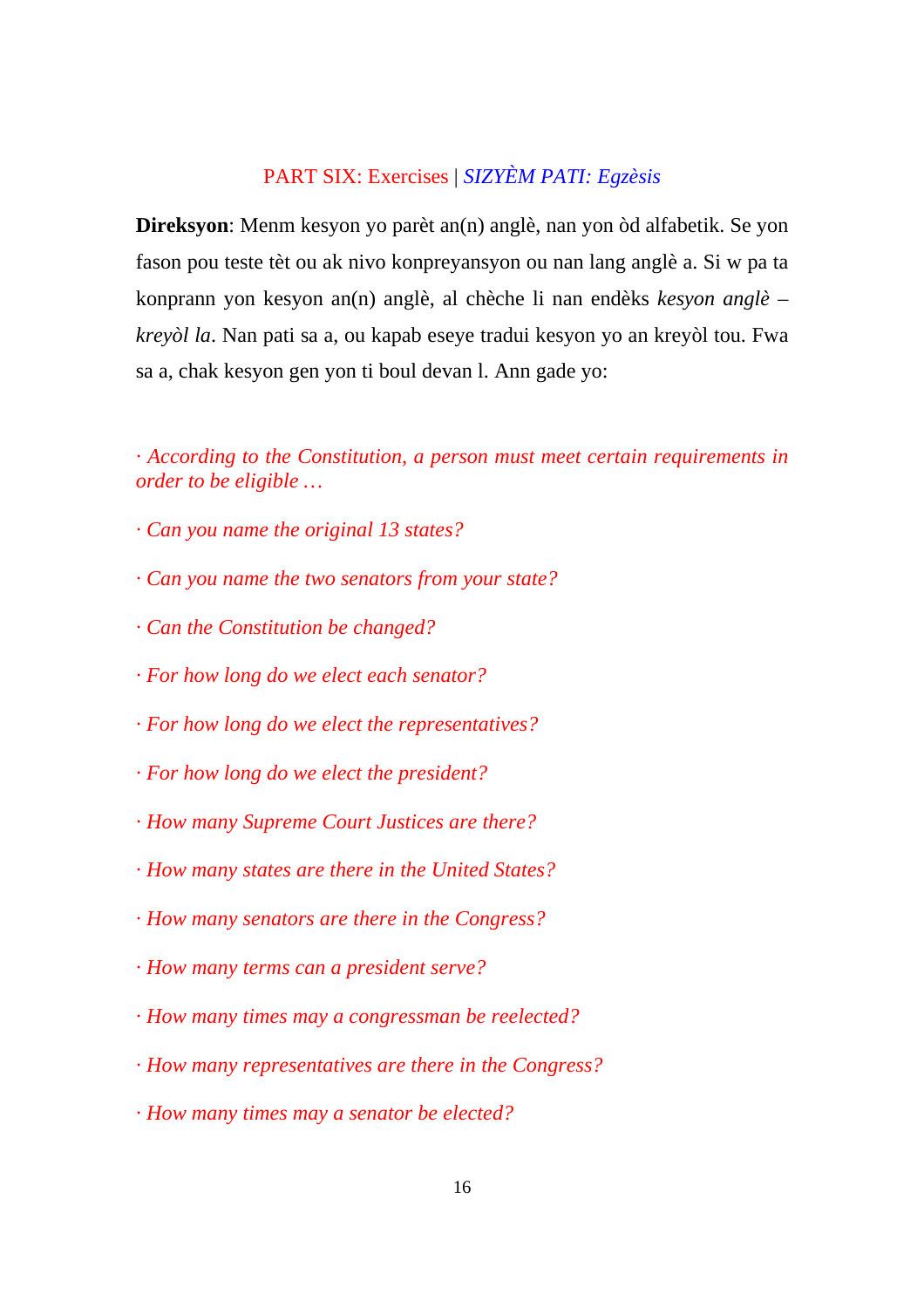# PART SIX: Exercises | *SIZYÈM PATI: Egzèsis*

**Direksyon**: Menm kesyon yo parèt an(n) anglè, nan yon òd alfabetik. Se yon fason pou teste tèt ou ak nivo konpreyansyon ou nan lang anglè a. Si w pa ta konprann yon kesyon an(n) anglè, al chèche li nan endèks *kesyon anglè – kreyòl la*. Nan pati sa a, ou kapab eseye tradui kesyon yo an kreyòl tou. Fwa sa a, chak kesyon gen yon ti boul devan l. Ann gade yo:

*· According to the Constitution, a person must meet certain requirements in order to be eligible …* 

- *· Can you name the original 13 states?*
- *· Can you name the two senators from your state?*
- *· Can the Constitution be changed?*
- *· For how long do we elect each senator?*
- *· For how long do we elect the representatives?*
- *· For how long do we elect the president?*
- *· How many Supreme Court Justices are there?*
- *· How many states are there in the United States?*
- *· How many senators are there in the Congress?*
- *· How many terms can a president serve?*
- *· How many times may a congressman be reelected?*
- *· How many representatives are there in the Congress?*
- *· How many times may a senator be elected?*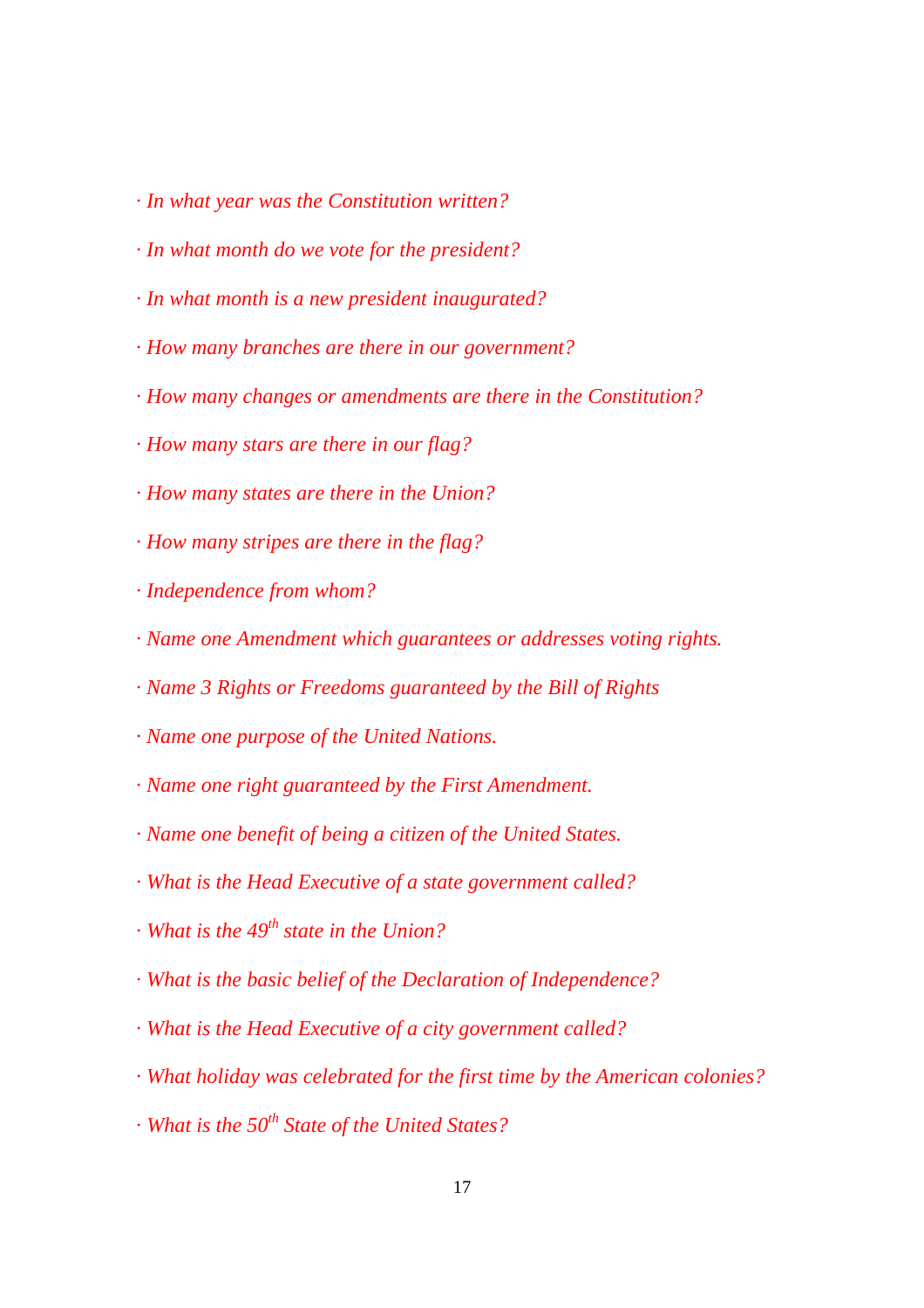- *· In what year was the Constitution written?*
- *· In what month do we vote for the president?*
- *· In what month is a new president inaugurated?*
- *· How many branches are there in our government?*
- *· How many changes or amendments are there in the Constitution?*
- *· How many stars are there in our flag?*
- *· How many states are there in the Union?*
- *· How many stripes are there in the flag?*
- *· Independence from whom?*
- *· Name one Amendment which guarantees or addresses voting rights.*
- *· Name 3 Rights or Freedoms guaranteed by the Bill of Rights*
- *· Name one purpose of the United Nations.*
- *· Name one right guaranteed by the First Amendment.*
- *· Name one benefit of being a citizen of the United States.*
- *· What is the Head Executive of a state government called?*
- *· What is the 49<sup>th</sup> state in the Union?*
- *· What is the basic belief of the Declaration of Independence?*
- *· What is the Head Executive of a city government called?*
- *· What holiday was celebrated for the first time by the American colonies?*
- *· What is the 50<sup>th</sup> State of the United States?*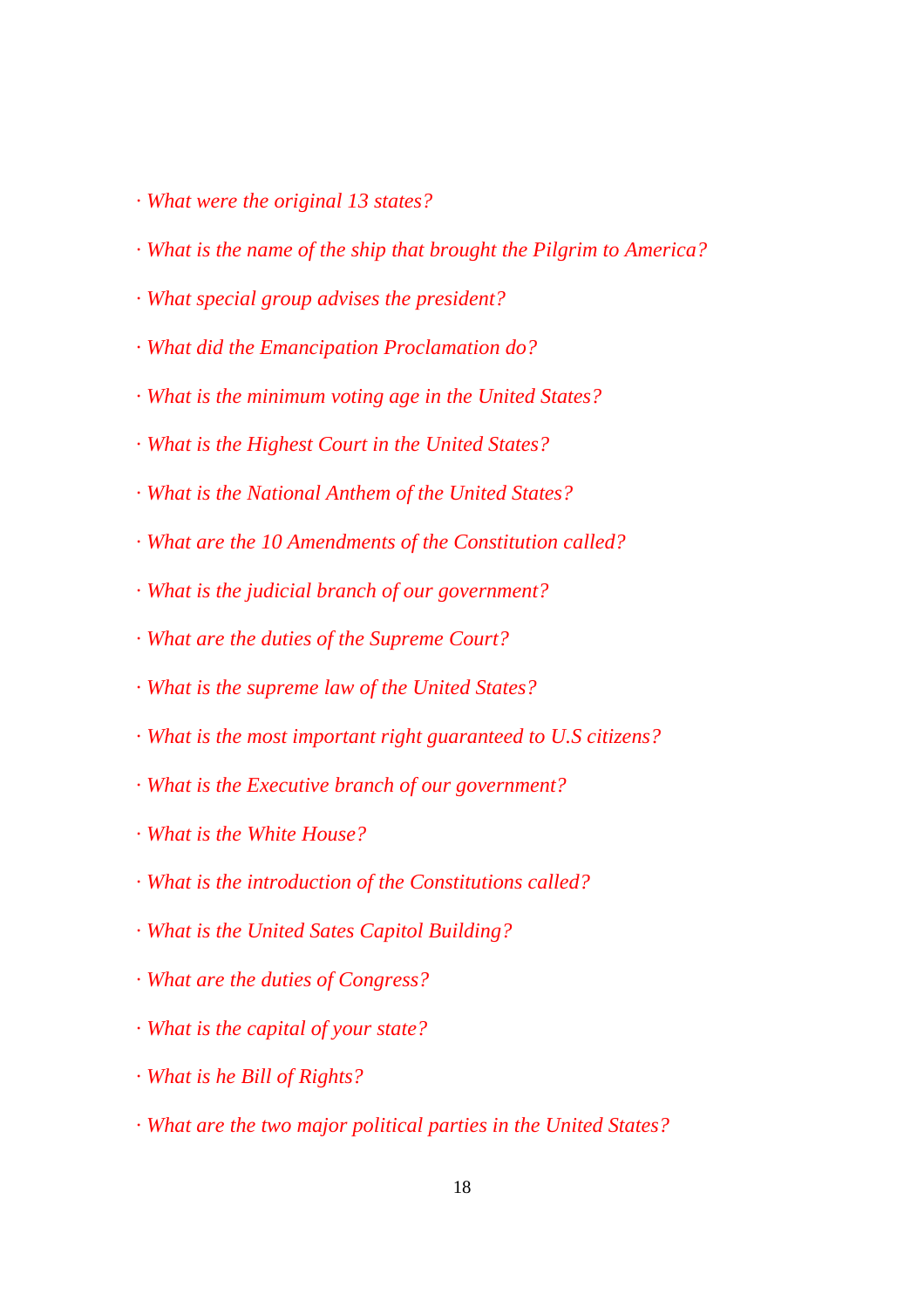- *· What were the original 13 states?*
- *· What is the name of the ship that brought the Pilgrim to America?*
- *· What special group advises the president?*
- *· What did the Emancipation Proclamation do?*
- *· What is the minimum voting age in the United States?*
- *· What is the Highest Court in the United States?*
- *· What is the National Anthem of the United States?*
- *· What are the 10 Amendments of the Constitution called?*
- *· What is the judicial branch of our government?*
- *· What are the duties of the Supreme Court?*
- *· What is the supreme law of the United States?*
- *· What is the most important right guaranteed to U.S citizens?*
- *· What is the Executive branch of our government?*
- *· What is the White House?*
- *· What is the introduction of the Constitutions called?*
- *· What is the United Sates Capitol Building?*
- *· What are the duties of Congress?*
- *· What is the capital of your state?*
- *· What is he Bill of Rights?*
- *· What are the two major political parties in the United States?*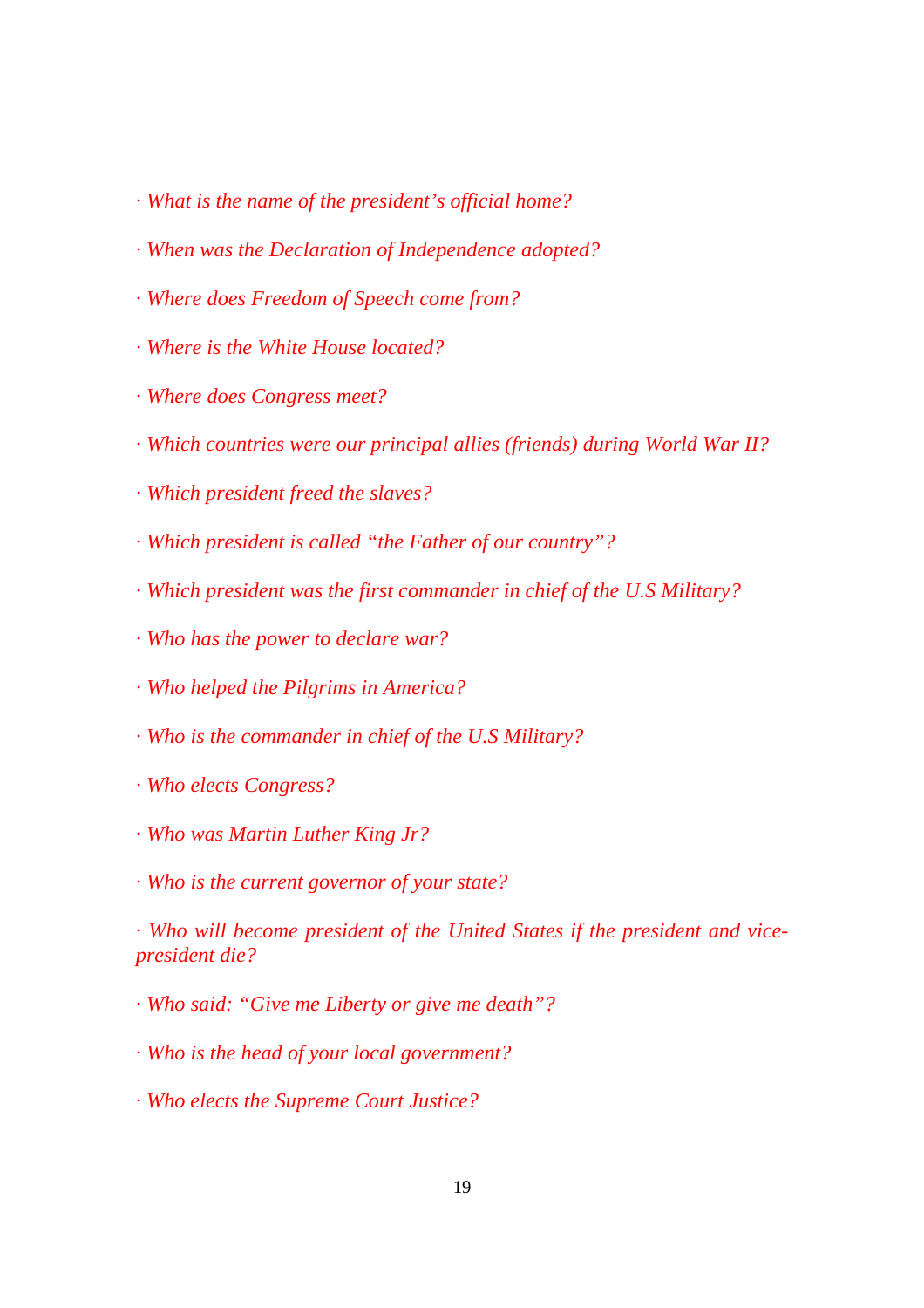- *· What is the name of the president's official home?*
- *· When was the Declaration of Independence adopted?*
- *· Where does Freedom of Speech come from?*
- *· Where is the White House located?*
- *· Where does Congress meet?*
- *· Which countries were our principal allies (friends) during World War II?*
- *· Which president freed the slaves?*
- *· Which president is called "the Father of our country"?*
- *· Which president was the first commander in chief of the U.S Military?*
- *· Who has the power to declare war?*
- *· Who helped the Pilgrims in America?*
- *· Who is the commander in chief of the U.S Military?*
- *· Who elects Congress?*
- *· Who was Martin Luther King Jr?*
- *· Who is the current governor of your state?*

*· Who will become president of the United States if the president and vicepresident die?* 

*· Who said: "Give me Liberty or give me death"?* 

*· Who is the head of your local government?* 

*· Who elects the Supreme Court Justice?*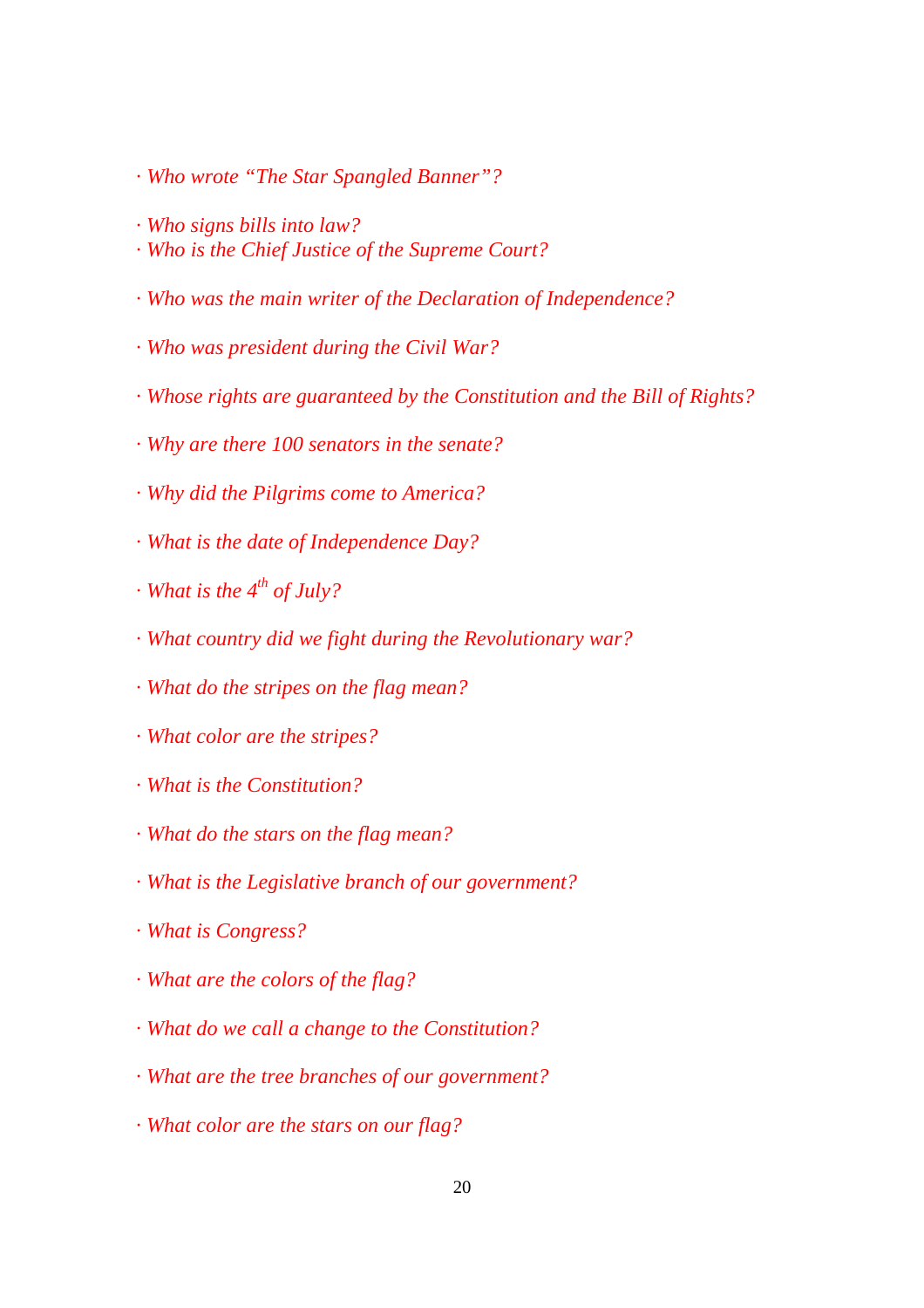- *· Who wrote "The Star Spangled Banner"?*
- *· Who signs bills into law?*
- *· Who is the Chief Justice of the Supreme Court?*
- *· Who was the main writer of the Declaration of Independence?*
- *· Who was president during the Civil War?*
- *· Whose rights are guaranteed by the Constitution and the Bill of Rights?*
- *· Why are there 100 senators in the senate?*
- *· Why did the Pilgrims come to America?*
- *· What is the date of Independence Day?*
- *· What is the 4<sup>th</sup> of July?*
- *· What country did we fight during the Revolutionary war?*
- *· What do the stripes on the flag mean?*
- *· What color are the stripes?*
- *· What is the Constitution?*
- *· What do the stars on the flag mean?*
- *· What is the Legislative branch of our government?*
- *· What is Congress?*
- *· What are the colors of the flag?*
- *· What do we call a change to the Constitution?*
- *· What are the tree branches of our government?*
- *· What color are the stars on our flag?*